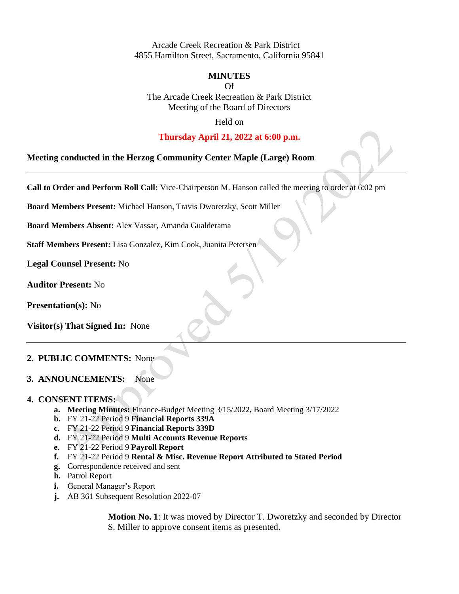Arcade Creek Recreation & Park District 4855 Hamilton Street, Sacramento, California 95841

### **MINUTES**

Of

The Arcade Creek Recreation & Park District Meeting of the Board of Directors

Held on

## **Thursday April 21, 2022 at 6:00 p.m.**

**Meeting conducted in the Herzog Community Center Maple (Large) Room**

**Call to Order and Perform Roll Call:** Vice**-**Chairperson M. Hanson called the meeting to order at 6:02 pm

**Board Members Present:** Michael Hanson, Travis Dworetzky, Scott Miller

**Board Members Absent:** Alex Vassar, Amanda Gualderama

**Staff Members Present:** Lisa Gonzalez, Kim Cook, Juanita Petersen

**Legal Counsel Present:** No

**Auditor Present:** No

**Presentation(s):** No

**Visitor(s) That Signed In:** None

#### **2. PUBLIC COMMENTS:** None

### **3. ANNOUNCEMENTS:** None

#### **4. CONSENT ITEMS:**

- **a. Meeting Minutes:** Finance-Budget Meeting 3/15/2022**,** Board Meeting 3/17/2022
- **b.** FY 21-22 Period 9 **Financial Reports 339A**
- **c.** FY 21-22 Period 9 **Financial Reports 339D**
- **d.** FY 21-22 Period 9 **Multi Accounts Revenue Reports**
- **e.** FY 21-22 Period 9 **Payroll Report**
- **f.** FY 21-22 Period 9 **Rental & Misc. Revenue Report Attributed to Stated Period**
- **g.** Correspondence received and sent
- **h.** Patrol Report
- **i.** General Manager's Report
- **j.** AB 361 Subsequent Resolution 2022-07

**Motion No. 1**: It was moved by Director T. Dworetzky and seconded by Director S. Miller to approve consent items as presented.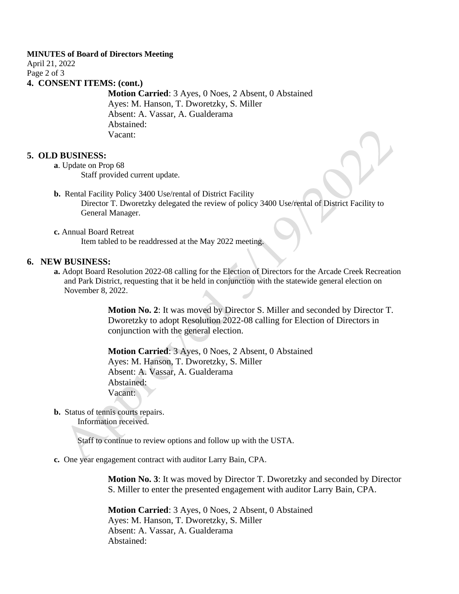#### **MINUTES of Board of Directors Meeting**

April 21, 2022 Page 2 of 3 **4. CONSENT ITEMS: (cont.)**

> **Motion Carried**: 3 Ayes, 0 Noes, 2 Absent, 0 Abstained Ayes: M. Hanson, T. Dworetzky, S. Miller Absent: A. Vassar, A. Gualderama Abstained: Vacant:

#### **5. OLD BUSINESS:**

- **a**. Update on Prop 68 Staff provided current update.
- **b.** Rental Facility Policy 3400 Use/rental of District Facility Director T. Dworetzky delegated the review of policy 3400 Use/rental of District Facility to General Manager.
- **c.** Annual Board Retreat Item tabled to be readdressed at the May 2022 meeting.

## **6. NEW BUSINESS:**

**a.** Adopt Board Resolution 2022-08 calling for the Election of Directors for the Arcade Creek Recreation and Park District, requesting that it be held in conjunction with the statewide general election on November 8, 2022.

> **Motion No. 2**: It was moved by Director S. Miller and seconded by Director T. Dworetzky to adopt Resolution 2022-08 calling for Election of Directors in conjunction with the general election.

**Motion Carried**: 3 Ayes, 0 Noes, 2 Absent, 0 Abstained Ayes: M. Hanson, T. Dworetzky, S. Miller Absent: A. Vassar, A. Gualderama Abstained: Vacant:

**b.** Status of tennis courts repairs.

Information received.

Staff to continue to review options and follow up with the USTA.

**c.** One year engagement contract with auditor Larry Bain, CPA.

**Motion No. 3**: It was moved by Director T. Dworetzky and seconded by Director S. Miller to enter the presented engagement with auditor Larry Bain, CPA.

**Motion Carried**: 3 Ayes, 0 Noes, 2 Absent, 0 Abstained Ayes: M. Hanson, T. Dworetzky, S. Miller Absent: A. Vassar, A. Gualderama Abstained: